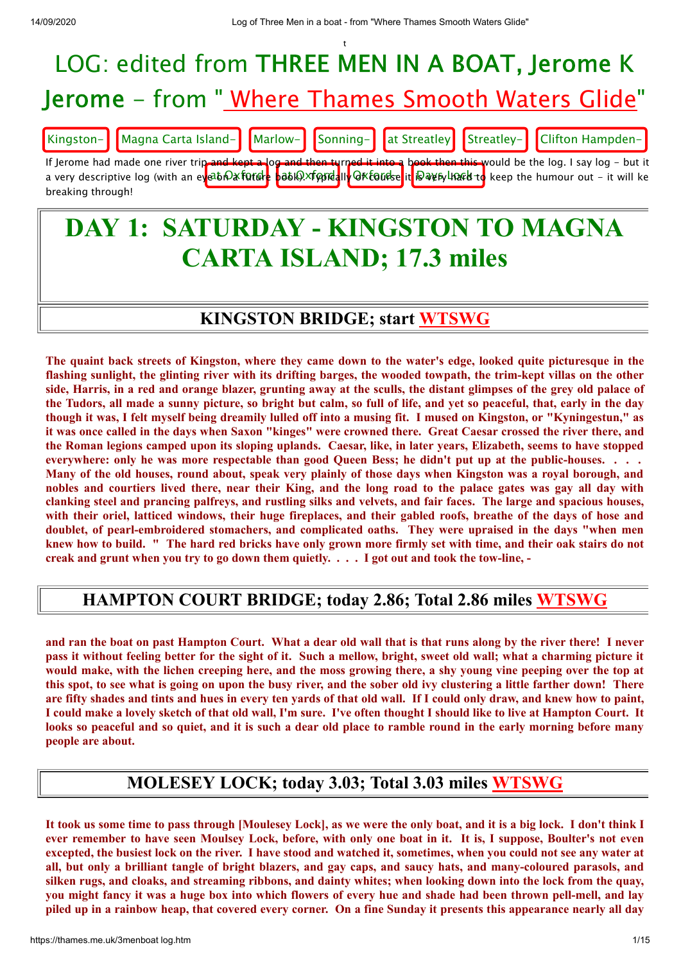

# **CARTA ISLAND; 17.3 miles**

#### **KINGSTON BRIDGE; start [WTSWG](http://thames.me.uk/s00350.htm)**

The quaint back streets of Kingston, where they came down to the water's edge, looked quite picturesque in the flashing sunlight, the glinting river with its drifting barges, the wooded towpath, the trim-kept villas on the other side, Harris, in a red and orange blazer, grunting away at the sculls, the distant glimpses of the grey old palace of the Tudors, all made a sunny picture, so bright but calm, so full of life, and yet so peaceful, that, early in the day though it was, I felt myself being dreamily lulled off into a musing fit. I mused on Kingston, or "Kyningestun," as it was once called in the days when Saxon "kinges" were crowned there. Great Caesar crossed the river there, and the Roman legions camped upon its sloping uplands. Caesar, like, in later vears, Elizabeth, seems to have stopped everywhere: only he was more respectable than good Queen Bess; he didn't put up at the public-houses. . . . Many of the old houses, round about, speak very plainly of those days when Kingston was a royal borough, and nobles and courtiers lived there, near their King, and the long road to the palace gates was gay all day with clanking steel and prancing palfreys, and rustling silks and velvets, and fair faces. The large and spacious houses, with their oriel, latticed windows, their huge fireplaces, and their gabled roofs, breathe of the days of hose and **doublet, of pearl-embroidered stomachers, and complicated oaths. They were upraised in the days "when men** knew how to build. " The hard red bricks have only grown more firmly set with time, and their oak stairs do not creak and grunt when you try to go down them quietly.  $\ldots$  I got out and took the tow-line, -

#### **HAMPTON COURT BRIDGE; today 2.86; Total 2.86 miles [WTSWG](http://thames.me.uk/s00370.htm)**

and ran the boat on past Hampton Court. What a dear old wall that is that runs along by the river there! I never pass it without feeling better for the sight of it. Such a mellow, bright, sweet old wall; what a charming picture it would make, with the lichen creeping here, and the moss growing there, a shy young vine peeping over the top at this spot, to see what is going on upon the busy river, and the sober old ivy clustering a little farther down! There are fifty shades and tints and hues in every ten yards of that old wall. If I could only draw, and knew how to paint, I could make a lovely sketch of that old wall, I'm sure. I've often thought I should like to live at Hampton Court. It looks so peaceful and so quiet, and it is such a dear old place to ramble round in the early morning before many **people are about.**

#### **MOLESEY LOCK; today 3.03; Total 3.03 miles [WTSWG](http://thames.me.uk/s00380.htm)**

It took us some time to pass through [Moulesey Lock], as we were the only boat, and it is a big lock. I don't think I ever remember to have seen Moulsey Lock, before, with only one boat in it. It is, I suppose, Boulter's not even excepted, the busiest lock on the river. I have stood and watched it, sometimes, when you could not see any water at all, but only a brilliant tangle of bright blazers, and gay caps, and saucy hats, and many-coloured parasols, and silken rugs, and cloaks, and streaming ribbons, and dainty whites; when looking down into the lock from the quay, you might fancy it was a huge box into which flowers of every hue and shade had been thrown pell-mell, and lay piled up in a rainbow heap, that covered every corner. On a fine Sunday it presents this appearance nearly all day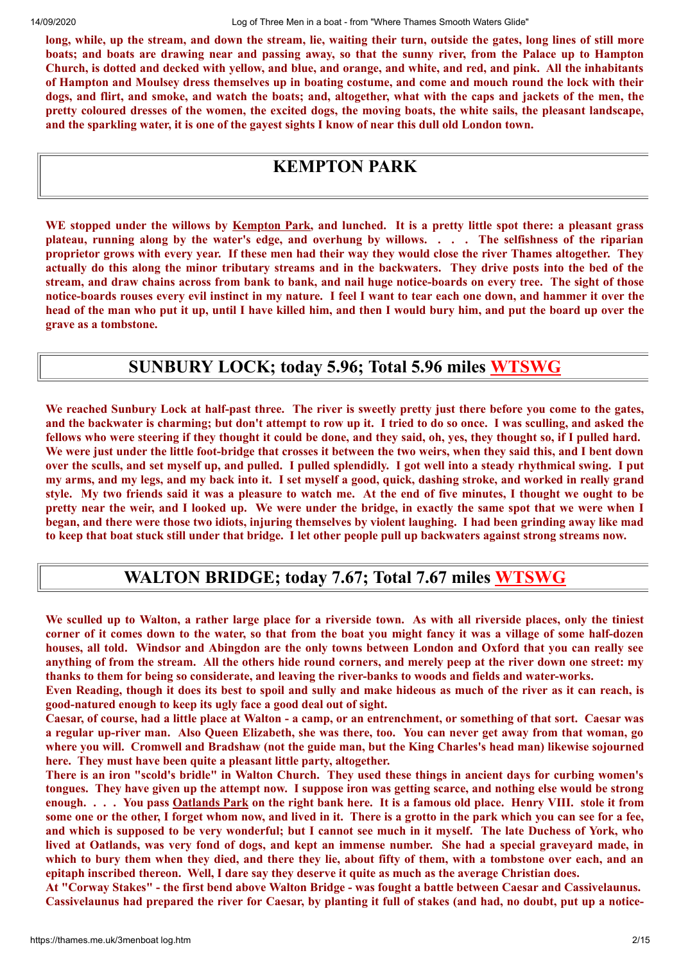long, while, up the stream, and down the stream, lie, waiting their turn, outside the gates, long lines of still more boats; and boats are drawing near and passing away, so that the sunny river, from the Palace up to Hampton Church, is dotted and decked with yellow, and blue, and orange, and white, and red, and pink. All the inhabitants of Hampton and Moulsey dress themselves up in boating costume, and come and mouch round the lock with their dogs, and flirt, and smoke, and watch the boats; and, altogether, what with the caps and jackets of the men, the pretty coloured dresses of the women, the excited dogs, the moving boats, the white sails, the pleasant landscape, and the sparkling water, it is one of the gavest sights I know of near this dull old London town.

#### **KEMPTON PARK**

WE stopped under the willows by Kempton Park, and lunched. It is a pretty little spot there: a pleasant grass plateau, running along by the water's edge, and overhung by willows. . . . The selfishness of the riparian proprietor grows with every year. If these men had their way they would close the river Thames altogether. They actually do this along the minor tributary streams and in the backwaters. They drive posts into the bed of the stream, and draw chains across from bank to bank, and nail huge notice-boards on every tree. The sight of those notice-boards rouses every evil instinct in my nature. I feel I want to tear each one down, and hammer it over the head of the man who put it up, until I have killed him, and then I would bury him, and put the board up over the **grave as a tombstone.**

#### **SUNBURY LOCK; today 5.96; Total 5.96 miles [WTSWG](http://thames.me.uk/s00390.htm)**

We reached Sunbury Lock at half-past three. The river is sweetly pretty just there before you come to the gates, and the backwater is charming; but don't attempt to row up it. I tried to do so once. I was sculling, and asked the fellows who were steering if they thought it could be done, and they said, oh, yes, they thought so, if I pulled hard. We were just under the little foot-bridge that crosses it between the two weirs, when they said this, and I bent down over the sculls, and set myself up, and pulled. I pulled splendidly. I got well into a steady rhythmical swing. I put my arms, and my legs, and my back into it. I set myself a good, quick, dashing stroke, and worked in really grand style. My two friends said it was a pleasure to watch me. At the end of five minutes, I thought we ought to be pretty near the weir, and I looked up. We were under the bridge, in exactly the same spot that we were when I began, and there were those two idiots, injuring themselves by violent laughing. I had been grinding away like mad to keep that boat stuck still under that bridge. I let other people pull up backwaters against strong streams now.

#### **WALTON BRIDGE; today 7.67; Total 7.67 miles [WTSWG](http://thames.me.uk/s00420.htm)**

We sculled up to Walton, a rather large place for a riverside town. As with all riverside places, only the tiniest corner of it comes down to the water, so that from the boat you might fancy it was a village of some half-dozen houses, all told. Windsor and Abingdon are the only towns between London and Oxford that you can really see anything of from the stream. All the others hide round corners, and merely peep at the river down one street: my **thanks to them for being so considerate, and leaving the river-banks to woods and fields and water-works.**

Even Reading, though it does its best to spoil and sully and make hideous as much of the river as it can reach, is **good-natured enough to keep its ugly face a good deal out of sight.**

Caesar, of course, had a little place at Walton - a camp, or an entrenchment, or something of that sort. Caesar was a regular up-river man. Also Queen Elizabeth, she was there, too. You can never get away from that woman, go where you will. Cromwell and Bradshaw (not the guide man, but the King Charles's head man) likewise sojourned **here. They must have been quite a pleasant little party, altogether.**

There is an iron "scold's bridle" in Walton Church. They used these things in ancient days for curbing women's tongues. They have given up the attempt now. I suppose iron was getting scarce, and nothing else would be strong enough. . . . You pass Oatlands Park on the right bank here. It is a famous old place. Henry VIII. stole it from some one or the other, I forget whom now, and lived in it. There is a grotto in the park which you can see for a fee, and which is supposed to be very wonderful; but I cannot see much in it myself. The late Duchess of York, who lived at Oatlands, was very fond of dogs, and kept an immense number. She had a special gravevard made, in which to bury them when they died, and there they lie, about fifty of them, with a tombstone over each, and an epitaph inscribed thereon. Well, I dare say they deserve it quite as much as the average Christian does.

At "Corway Stakes" - the first bend above Walton Bridge - was fought a battle between Caesar and Cassivelaunus. Cassivelaunus had prepared the river for Caesar, by planting it full of stakes (and had, no doubt, put up a notice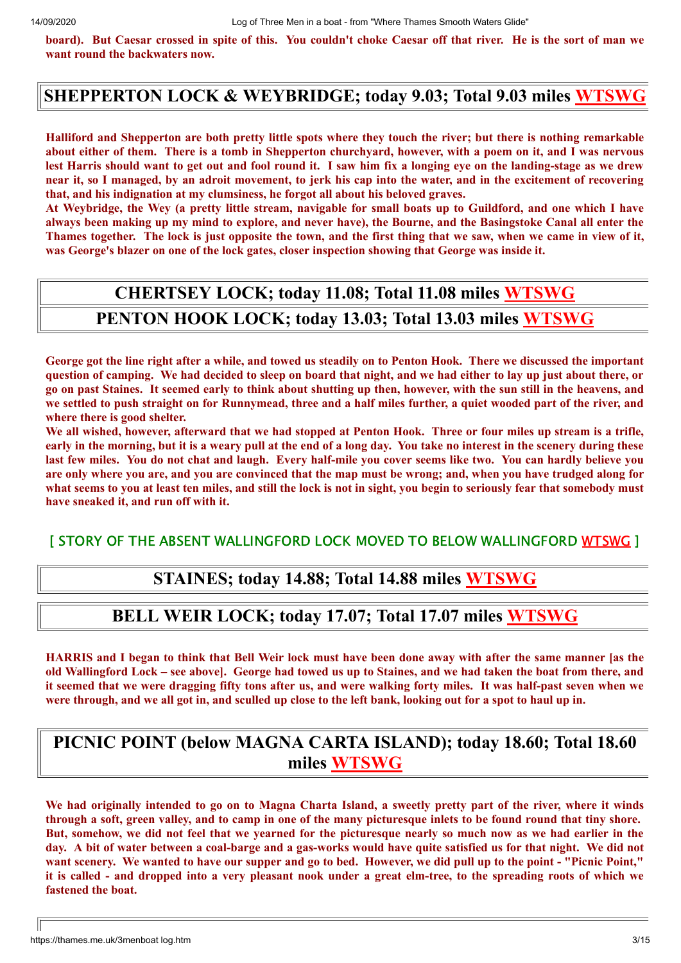board). But Caesar crossed in spite of this. You couldn't choke Caesar off that river. He is the sort of man we **want round the backwaters now.**

#### **SHEPPERTON LOCK & WEYBRIDGE; today 9.03; Total 9.03 miles [WTSWG](http://thames.me.uk/s00420.htm)**

Halliford and Shepperton are both pretty little spots where they touch the river; but there is nothing remarkable about either of them. There is a tomb in Shepperton churchyard, however, with a poem on it, and I was nervous lest Harris should want to get out and fool round it. I saw him fix a longing eve on the landing-stage as we drew near it, so I managed, by an adroit movement, to jerk his cap into the water, and in the excitement of recovering **that, and his indignation at my clumsiness, he forgot all about his beloved graves.**

At Wevbridge, the Wev (a pretty little stream, navigable for small boats up to Guildford, and one which I have always been making up my mind to explore, and never have), the Bourne, and the Basingstoke Canal all enter the Thames together. The lock is just opposite the town, and the first thing that we saw, when we came in view of it, **was George's blazer on one of the lock gates, closer inspection showing that George was inside it.**

## **CHERTSEY LOCK; today 11.08; Total 11.08 miles [WTSWG](http://thames.me.uk/s00440.htm)**

#### **PENTON HOOK LOCK; today 13.03; Total 13.03 miles [WTSWG](http://thames.me.uk/s00470.htm)**

George got the line right after a while, and towed us steadily on to Penton Hook. There we discussed the important question of camping. We had decided to sleep on board that night, and we had either to lay up just about there, or go on past Staines. It seemed early to think about shutting up then, however, with the sun still in the heavens, and we settled to push straight on for Runnymead, three and a half miles further, a quiet wooded part of the river, and **where there is good shelter.**

We all wished, however, afterward that we had stopped at Penton Hook. Three or four miles up stream is a trifle, early in the morning, but it is a weary pull at the end of a long day. You take no interest in the scenery during these last few miles. You do not chat and laugh. Every half-mile you cover seems like two. You can hardly believe you are only where you are, and you are convinced that the map must be wrong; and, when you have trudged along for what seems to you at least ten miles, and still the lock is not in sight, you begin to seriously fear that somebody must **have sneaked it, and run off with it.**

[ STORY OF THE ABSENT WALLINGFORD LOCK MOVED TO BELOW WALLINGFORD [WTSWG](http://thames.me.uk/s01320.htm) ]

#### **STAINES; today 14.88; Total 14.88 miles [WTSWG](http://thames.me.uk/s00490.htm)**

#### **BELL WEIR LOCK; today 17.07; Total 17.07 miles [WTSWG](http://thames.me.uk/s00510.htm)**

HARRIS and I began to think that Bell Weir lock must have been done away with after the same manner [as the old Wallingford Lock – see above]. George had towed us up to Staines, and we had taken the boat from there, and it seemed that we were dragging fifty tons after us, and were walking forty miles. It was half-past seven when we were through, and we all got in, and sculled up close to the left bank, looking out for a spot to haul up in.

#### **PICNIC POINT (below MAGNA CARTA ISLAND); today 18.60; Total 18.60 miles [WTSWG](http://thames.me.uk/s00520.htm)**

We had originally intended to go on to Magna Charta Island, a sweetly pretty part of the river, where it winds through a soft, green valley, and to camp in one of the many picturesque inlets to be found round that tiny shore. But, somehow, we did not feel that we vearned for the picturesque nearly so much now as we had earlier in the day. A bit of water between a coal-barge and a gas-works would have quite satisfied us for that night. We did not want scenery. We wanted to have our supper and go to bed. However, we did pull up to the point - "Picnic Point," it is called - and dropped into a very pleasant nook under a great elm-tree, to the spreading roots of which we **fastened the boat.**

https://thames.me.uk/3menboat log.htm 3/15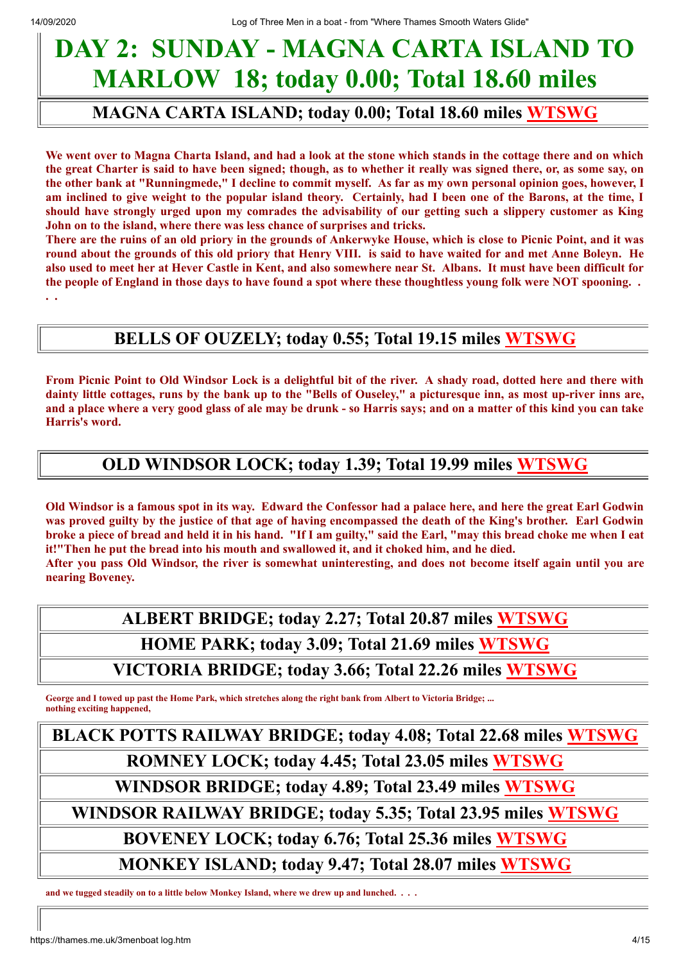## **DAY 2: SUNDAY - MAGNA CARTA ISLAND TO MARLOW 18; today 0.00; Total 18.60 miles**

#### **MAGNA CARTA ISLAND; today 0.00; Total 18.60 miles [WTSWG](http://thames.me.uk/s00520.htm)**

We went over to Magna Charta Island, and had a look at the stone which stands in the cottage there and on which the great Charter is said to have been signed; though, as to whether it really was signed there, or, as some say, on the other bank at "Runningmede," I decline to commit myself. As far as my own personal opinion goes, however, I am inclined to give weight to the popular island theory. Certainly, had I been one of the Barons, at the time, I should have strongly urged upon my comrades the advisability of our getting such a slippery customer as King **John on to the island, where there was less chance of surprises and tricks.**

There are the ruins of an old priory in the grounds of Ankerwyke House, which is close to Picnic Point, and it was round about the grounds of this old priory that Henry VIII. is said to have waited for and met Anne Boleyn. He also used to meet her at Hever Castle in Kent, and also somewhere near St. Albans. It must have been difficult for the people of England in those days to have found a spot where these thoughtless young folk were NOT spooning.. **. .**

#### **BELLS OF OUZELY; today 0.55; Total 19.15 miles [WTSWG](http://thames.me.uk/s00522.htm)**

From Picnic Point to Old Windsor Lock is a delightful bit of the river. A shady road, dotted here and there with dainty little cottages, runs by the bank up to the "Bells of Ouseley," a picturesque inn, as most up-river inns are, and a place where a very good glass of ale may be drunk - so Harris says; and on a matter of this kind you can take **Harris's word.**

#### **OLD WINDSOR LOCK; today 1.39; Total 19.99 miles [WTSWG](http://thames.me.uk/s0053.htm)**

Old Windsor is a famous spot in its way. Edward the Confessor had a palace here, and here the great Earl Godwin was proved guilty by the justice of that age of having encompassed the death of the King's brother. Earl Godwin broke a piece of bread and held it in his hand. "If I am guilty," said the Earl, "may this bread choke me when I eat **it!"Then he put the bread into his mouth and swallowed it, and it choked him, and he died.**

After you pass Old Windsor, the river is somewhat uninteresting, and does not become itself again until you are **nearing Boveney.**

> **ALBERT BRIDGE; today 2.27; Total 20.87 miles [WTSWG](http://thames.me.uk/s00540.htm) HOME PARK; today 3.09; Total 21.69 miles [WTSWG](http://thames.me.uk/s00550.htm) VICTORIA BRIDGE; today 3.66; Total 22.26 miles [WTSWG](http://thames.me.uk/s00560.htm)**

**George and I towed up past the Home Park, which stretches along the right bank from Albert to Victoria Bridge; ... nothing exciting happened,**

**BLACK POTTS RAILWAY BRIDGE; today 4.08; Total 22.68 miles [WTSWG](http://thames.me.uk/s00570.htm) ROMNEY LOCK; today 4.45; Total 23.05 miles [WTSWG](http://thames.me.uk/s00580.htm) WINDSOR BRIDGE; today 4.89; Total 23.49 miles [WTSWG](http://thames.me.uk/s00600.htm) WINDSOR RAILWAY BRIDGE; today 5.35; Total 23.95 miles [WTSWG](http://thames.me.uk/s00610.htm) BOVENEY LOCK; today 6.76; Total 25.36 miles [WTSWG](http://thames.me.uk/s00640.htm) MONKEY ISLAND; today 9.47; Total 28.07 miles [WTSWG](http://thames.me.uk/s00670.htm)**

**and we tugged steadily on to a little below Monkey Island, where we drew up and lunched. . . .**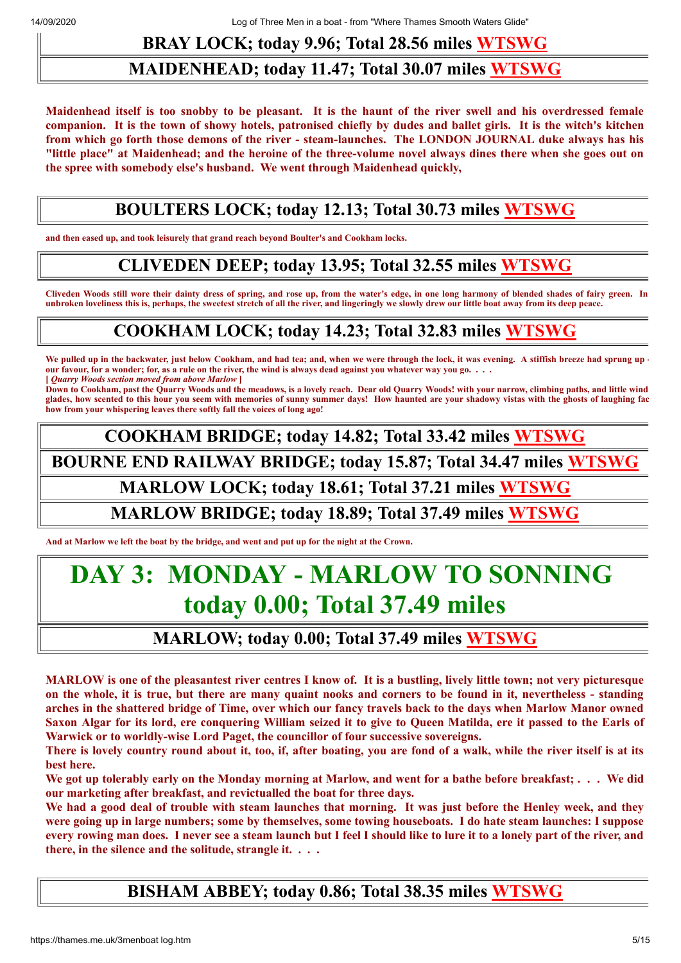### **BRAY LOCK; today 9.96; Total 28.56 miles [WTSWG](http://thames.me.uk/s00420.htm)**

#### **MAIDENHEAD; today 11.47; Total 30.07 miles [WTSWG](http://thames.me.uk/s00720.htm)**

Maidenhead itself is too snobby to be pleasant. It is the haunt of the river swell and his overdressed female companion. It is the town of showy hotels, patronised chiefly by dudes and ballet girls. It is the witch's kitchen from which go forth those demons of the river - steam-launches. The LONDON JOURNAL duke always has his "little place" at Maidenhead; and the heroine of the three-volume novel always dines there when she goes out on **the spree with somebody else's husband. We went through Maidenhead quickly,**

#### **BOULTERS LOCK; today 12.13; Total 30.73 miles [WTSWG](http://thames.me.uk/s00740.htm)**

**and then eased up, and took leisurely that grand reach beyond Boulter's and Cookham locks.**

#### **CLIVEDEN DEEP; today 13.95; Total 32.55 miles [WTSWG](http://thames.me.uk/s00748.htm)**

**Cliveden Woods still wore their dainty dress of spring, and rose up, from the water's edge, in one long harmony of blended shades of fairy green. In unbroken loveliness this is, perhaps, the sweetest stretch of all the river, and lingeringly we slowly drew our little boat away from its deep peace.**

### **COOKHAM LOCK; today 14.23; Total 32.83 miles [WTSWG](http://thames.me.uk/s00760.htm)**

We pulled up in the backwater, just below Cookham, and had tea; and, when we were through the lock, it was evening. A stiffish breeze had sprung up **our favour, for a wonder; for, as a rule on the river, the wind is always dead against you whatever way you go. . . . [** *Quarry Woods section moved from above Marlow* **]**

**Down to Cookham, past the Quarry Woods and the meadows, is a lovely reach. Dear old Quarry Woods! with your narrow, climbing paths, and little wind glades, how scented to this hour you seem with memories of sunny summer days! How haunted are your shadowy vistas with the ghosts of laughing fac how from your whispering leaves there softly fall the voices of long ago!**

**COOKHAM BRIDGE; today 14.82; Total 33.42 miles [WTSWG](http://thames.me.uk/s00780.htm)**

**BOURNE END RAILWAY BRIDGE; today 15.87; Total 34.47 miles [WTSWG](http://thames.me.uk/s00790.htm)**

#### **MARLOW LOCK; today 18.61; Total 37.21 miles [WTSWG](http://thames.me.uk/s00810.htm)**

#### **MARLOW BRIDGE; today 18.89; Total 37.49 miles [WTSWG](http://thames.me.uk/s00820.htm)**

**And at Marlow we left the boat by the bridge, and went and put up for the night at the Crown.**

## **DAY 3: MONDAY - MARLOW TO SONNING today 0.00; Total 37.49 miles**

#### **MARLOW; today 0.00; Total 37.49 miles [WTSWG](http://thames.me.uk/s00820.htm)**

MARLOW is one of the pleasantest river centres I know of. It is a bustling, lively little town; not very picturesque on the whole, it is true, but there are many quaint nooks and corners to be found in it, nevertheless - standing arches in the shattered bridge of Time, over which our fancy travels back to the days when Marlow Manor owned Saxon Algar for its lord, ere conquering William seized it to give to Queen Matilda, ere it passed to the Earls of **Warwick or to worldly-wise Lord Paget, the councillor of four successive sovereigns.**

There is lovely country round about it, too, if, after boating, you are fond of a walk, while the river itself is at its **best here.**

We got up tolerably early on the Monday morning at Marlow, and went for a bathe before breakfast; ... We did **our marketing after breakfast, and revictualled the boat for three days.**

We had a good deal of trouble with steam launches that morning. It was just before the Henley week, and they were going up in large numbers; some by themselves, some towing houseboats. I do hate steam launches: I suppose every rowing man does. I never see a steam launch but I feel I should like to lure it to a lonely part of the river, and **there, in the silence and the solitude, strangle it. . . .**

#### **BISHAM ABBEY; today 0.86; Total 38.35 miles [WTSWG](http://thames.me.uk/s00831.htm)**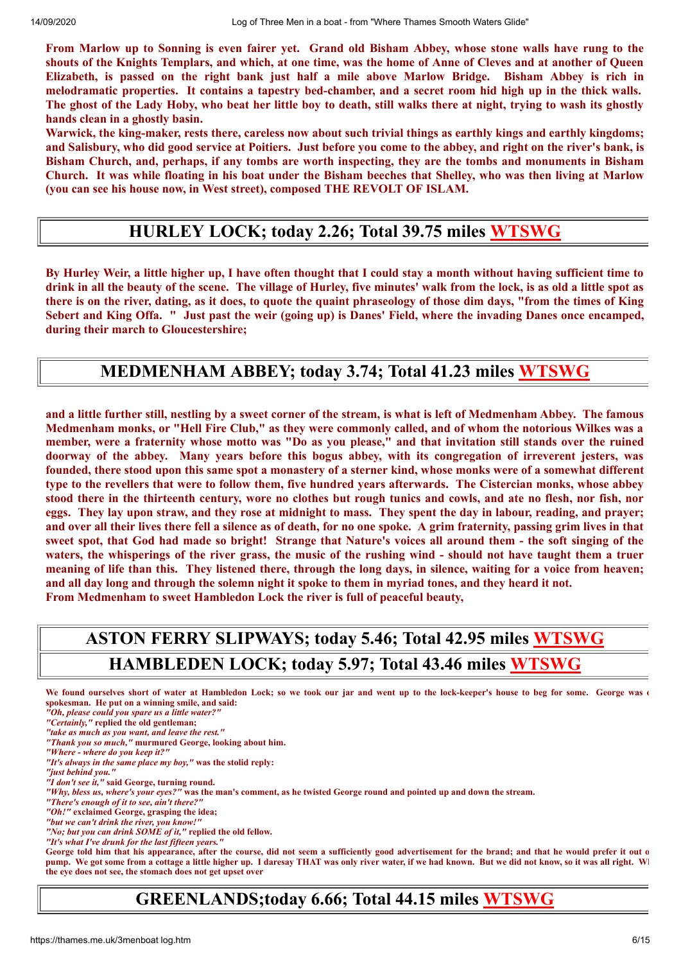From Marlow up to Sonning is even fairer yet. Grand old Bisham Abbey, whose stone walls have rung to the shouts of the Knights Templars, and which, at one time, was the home of Anne of Cleves and at another of Queen Elizabeth, is passed on the right bank just half a mile above Marlow Bridge. Bisham Abbey is rich in melodramatic properties. It contains a tapestry bed-chamber, and a secret room hid high up in the thick walls. The ghost of the Lady Hoby, who beat her little boy to death, still walks there at night, trying to wash its ghostly **hands clean in a ghostly basin.**

Warwick, the king-maker, rests there, careless now about such trivial things as earthly kings and earthly kingdoms; and Salisbury, who did good service at Poitiers. Just before you come to the abbey, and right on the river's bank, is Bisham Church, and, perhaps, if any tombs are worth inspecting, they are the tombs and monuments in Bisham Church. It was while floating in his boat under the Bisham beeches that Shelley, who was then living at Marlow **(you can see his house now, in West street), composed THE REVOLT OF ISLAM.**

#### **HURLEY LOCK; today 2.26; Total 39.75 miles [WTSWG](http://thames.me.uk/s00850.htm)**

By Hurley Weir, a little higher up, I have often thought that I could stay a month without having sufficient time to drink in all the beauty of the scene. The village of Hurley, five minutes' walk from the lock, is as old a little spot as there is on the river, dating, as it does, to quote the quaint phraseology of those dim days, "from the times of King Sebert and King Offa. " Just past the weir (going up) is Danes' Field, where the invading Danes once encamped, **during their march to Gloucestershire;**

#### **MEDMENHAM ABBEY; today 3.74; Total 41.23 miles [WTSWG](http://thames.me.uk/s00860.htm)**

and a little further still, nestling by a sweet corner of the stream, is what is left of Medmenham Abbey. The famous Medmenham monks, or "Hell Fire Club," as they were commonly called, and of whom the notorious Wilkes was a member, were a fraternity whose motto was "Do as you please," and that invitation still stands over the ruined doorway of the abbey. Many years before this bogus abbey, with its congregation of irreverent jesters, was founded, there stood upon this same spot a monastery of a sterner kind, whose monks were of a somewhat different type to the revellers that were to follow them, five hundred years afterwards. The Cistercian monks, whose abbey stood there in the thirteenth century, wore no clothes but rough tunics and cowls, and ate no flesh, nor fish, nor eggs. They lay upon straw, and they rose at midnight to mass. They spent the day in labour, reading, and prayer; and over all their lives there fell a silence as of death, for no one spoke. A grim fraternity, passing grim lives in that sweet spot, that God had made so bright! Strange that Nature's voices all around them - the soft singing of the waters, the whisperings of the river grass, the music of the rushing wind - should not have taught them a truer meaning of life than this. They listened there, through the long days, in silence, waiting for a voice from heaven; and all day long and through the solemn night it spoke to them in myriad tones, and they heard it not. **From Medmenham to sweet Hambledon Lock the river is full of peaceful beauty,**

### **ASTON FERRY SLIPWAYS; today 5.46; Total 42.95 miles [WTSWG](http://thames.me.uk/s00880.htm) HAMBLEDEN LOCK; today 5.97; Total 43.46 miles [WTSWG](http://thames.me.uk/s00890.htm)**

- We found ourselves short of water at Hambledon Lock; so we took our jar and went up to the lock-keeper's house to beg for some. George was o **spokesman. He put on a winning smile, and said:**
- *"Oh, please could you spare us a little water?"*
- *"Certainly,"* **replied the old gentleman;**
- *"take as much as you want, and leave the rest."*
- *"Thank you so much,"* **murmured George, looking about him.**
- *"Where where do you keep it?"*
- *"It's always in the same place my boy,"* **was the stolid reply:**
- *"just behind you."*
- *"I don't see it,"* **said George, turning round.**
- *"Why, bless us, where's your eyes?"* **was the man's comment, as he twisted George round and pointed up and down the stream.**
- *"There's enough of it to see, ain't there?"*
- *"Oh!"* **exclaimed George, grasping the idea;**
- *"but we can't drink the river, you know!"*
- *"No; but you can drink SOME of it,"* **replied the old fellow.**
- *"It's what I've drunk for the last fifteen years."*

**George told him that his appearance, after the course, did not seem a sufficiently good advertisement for the brand; and that he would prefer it out o pump. We got some from a cottage a little higher up. I daresay THAT was only river water, if we had known. But we did not know, so it was all right. Wh the eye does not see, the stomach does not get upset over**

#### **GREENLANDS;today 6.66; Total 44.15 miles [WTSWG](http://thames.me.uk/s00892.htm)**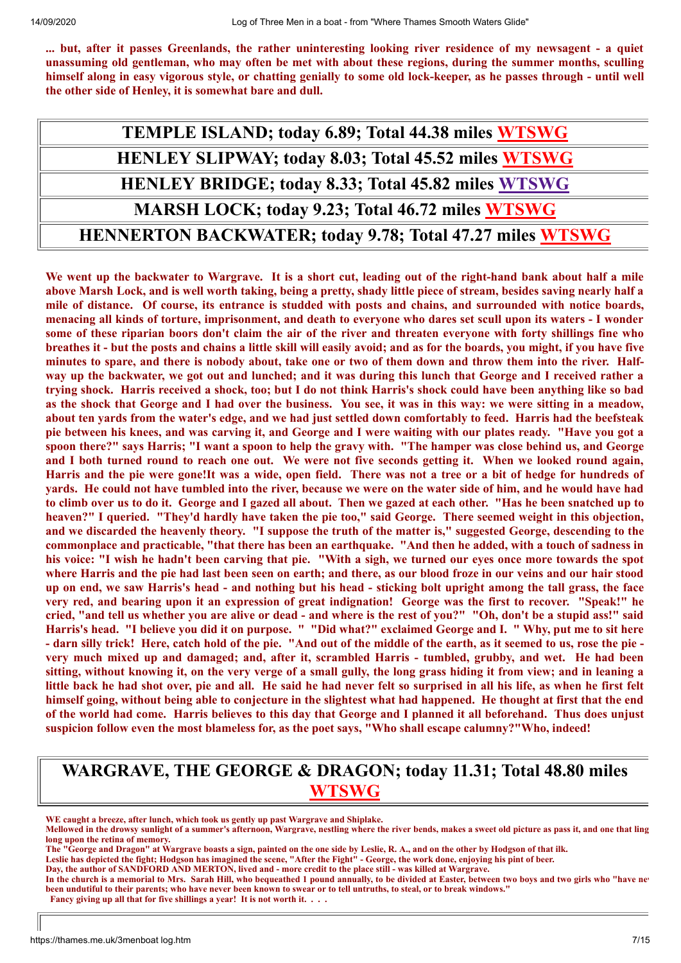... but, after it passes Greenlands, the rather uninteresting looking river residence of my newsagent - a quiet unassuming old gentleman, who may often be met with about these regions, during the summer months, sculling himself along in easy vigorous style, or chatting genially to some old lock-keeper, as he passes through - until well **the other side of Henley, it is somewhat bare and dull.**

| TEMPLE ISLAND; today 6.89; Total 44.38 miles WTSWG              |
|-----------------------------------------------------------------|
| <b>HENLEY SLIPWAY; today 8.03; Total 45.52 miles WTSWG</b>      |
| <b>HENLEY BRIDGE; today 8.33; Total 45.82 miles WTSWG</b>       |
| MARSH LOCK; today 9.23; Total 46.72 miles WTSWG                 |
| <b>HENNERTON BACKWATER; today 9.78; Total 47.27 miles WTSWG</b> |

We went up the backwater to Wargrave. It is a short cut, leading out of the right-hand bank about half a mile above Marsh Lock, and is well worth taking, being a pretty, shady little piece of stream, besides saving nearly half a mile of distance. Of course, its entrance is studded with posts and chains, and surrounded with notice boards, menacing all kinds of torture, imprisonment, and death to everyone who dares set scull upon its waters - I wonder some of these riparian boors don't claim the air of the river and threaten everyone with forty shillings fine who breathes it - but the posts and chains a little skill will easily avoid; and as for the boards, you might, if you have five minutes to spare, and there is nobody about, take one or two of them down and throw them into the river. Halfway up the backwater, we got out and lunched; and it was during this lunch that George and I received rather a trying shock. Harris received a shock, too; but I do not think Harris's shock could have been anything like so bad as the shock that George and I had over the business. You see, it was in this way: we were sitting in a meadow, about ten vards from the water's edge, and we had just settled down comfortably to feed. Harris had the beefsteak pie between his knees, and was carving it, and George and I were waiting with our plates ready. "Have you got a spoon there?" says Harris; "I want a spoon to help the gravy with. "The hamper was close behind us, and George and I both turned round to reach one out. We were not five seconds getting it. When we looked round again, Harris and the pie were gone! It was a wide, open field. There was not a tree or a bit of hedge for hundreds of yards. He could not have tumbled into the river, because we were on the water side of him, and he would have had to climb over us to do it. George and I gazed all about. Then we gazed at each other. "Has he been snatched up to heaven?" I queried. "They'd hardly have taken the pie too," said George. There seemed weight in this objection, and we discarded the heavenly theory. "I suppose the truth of the matter is," suggested George, descending to the commonplace and practicable, "that there has been an earthquake. "And then he added, with a touch of sadness in his voice: "I wish he hadn't been carving that pie. "With a sigh, we turned our eyes once more towards the spot where Harris and the pie had last been seen on earth; and there, as our blood froze in our veins and our hair stood up on end, we saw Harris's head - and nothing but his head - sticking bolt upright among the tall grass, the face very red, and bearing upon it an expression of great indignation! George was the first to recover. "Speak!" he cried, "and tell us whether you are alive or dead - and where is the rest of you?" "Oh, don't be a stupid ass!" said Harris's head. "I believe you did it on purpose. " "Did what?" exclaimed George and I. " Why, put me to sit here - darn silly trick! Here, catch hold of the pie. "And out of the middle of the earth, as it seemed to us, rose the pie very much mixed up and damaged; and, after it, scrambled Harris - tumbled, grubby, and wet. He had been sitting, without knowing it, on the very verge of a small gully, the long grass hiding it from view; and in leaning a little back he had shot over, pie and all. He said he had never felt so surprised in all his life, as when he first felt himself going, without being able to conjecture in the slightest what had happened. He thought at first that the end of the world had come. Harris believes to this day that George and I planned it all beforehand. Thus does unjust **suspicion follow even the most blameless for, as the poet says, "Who shall escape calumny?"Who, indeed!**

#### **WARGRAVE, THE GEORGE & DRAGON; today 11.31; Total 48.80 miles [WTSWG](http://thames.me.uk/s01060.htm)**

**WE caught a breeze, after lunch, which took us gently up past Wargrave and Shiplake.**

**Mellowed in the drowsy sunlight of a summer's afternoon, Wargrave, nestling where the river bends, makes a sweet old picture as pass it, and one that ling long upon the retina of memory.**

**The "George and Dragon" at Wargrave boasts a sign, painted on the one side by Leslie, R. A., and on the other by Hodgson of that ilk.**

**Leslie has depicted the fight; Hodgson has imagined the scene, "After the Fight" - George, the work done, enjoying his pint of beer.**

**Day, the author of SANDFORD AND MERTON, lived and - more credit to the place still - was killed at Wargrave.**

**In the church is a memorial to Mrs. Sarah Hill, who bequeathed 1 pound annually, to be divided at Easter, between two boys and two girls who "have nev been undutiful to their parents; who have never been known to swear or to tell untruths, to steal, or to break windows." Fancy giving up all that for five shillings a year! It is not worth it. . . .**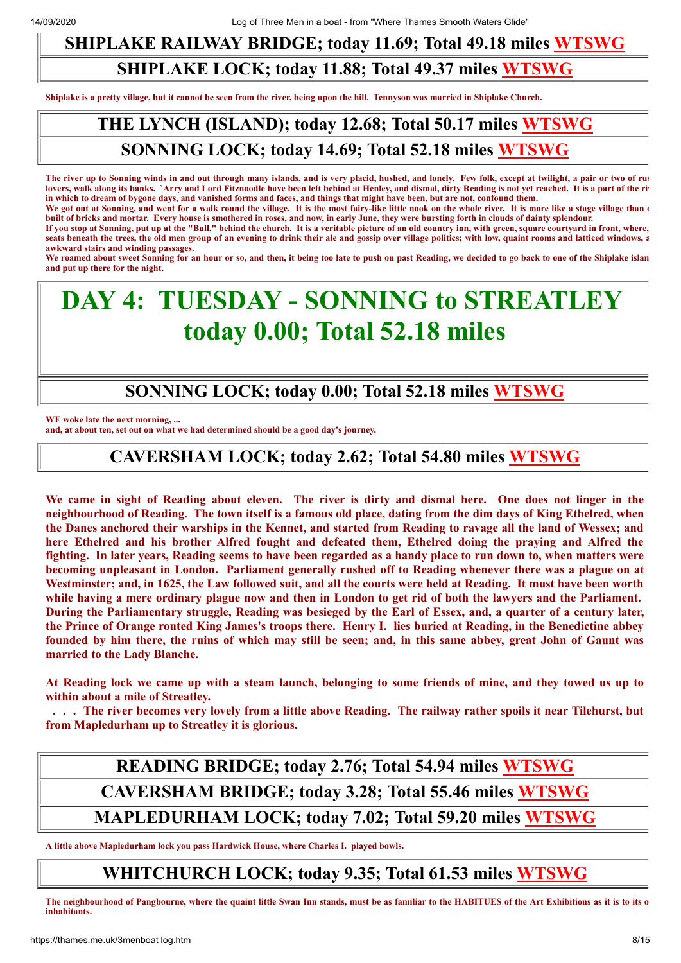### **SHIPLAKE RAILWAY BRIDGE; today 11.69; Total 49.18 miles [WTSWG](http://thames.me.uk/s01070.htm)**

#### **SHIPLAKE LOCK; today 11.88; Total 49.37 miles [WTSWG](http://thames.me.uk/s01082.htm)**

**Shiplake is a pretty village, but it cannot be seen from the river, being upon the hill. Tennyson was married in Shiplake Church.**

### **THE LYNCH (ISLAND); today 12.68; Total 50.17 miles [WTSWG](http://thames.me.uk/s01082.htm) SONNING LOCK; today 14.69; Total 52.18 miles [WTSWG](http://thames.me.uk/s01110.htm)**

**The river up to Sonning winds in and out through many islands, and is very placid, hushed, and lonely. Few folk, except at twilight, a pair or two of rus** lovers, walk along its banks. `Arry and Lord Fitznoodle have been left behind at Henley, and dismal, dirty Reading is not yet reached. It is a part of the ri **in which to dream of bygone days, and vanished forms and faces, and things that might have been, but are not, confound them.**

We got out at Sonning, and went for a walk round the village. It is the most fairy-like little nook on the whole river. It is more like a stage village than  $\epsilon$ **built of bricks and mortar. Every house is smothered in roses, and now, in early June, they were bursting forth in clouds of dainty splendour.**

**If you stop at Sonning, put up at the "Bull," behind the church. It is a veritable picture of an old country inn, with green, square courtyard in front, where,** seats beneath the trees, the old men group of an evening to drink their ale and gossip over village politics; with low, quaint rooms and latticed windows, a **awkward stairs and winding passages.**

**We roamed about sweet Sonning for an hour or so, and then, it being too late to push on past Reading, we decided to go back to one of the Shiplake islan and put up there for the night.**

## **DAY 4: TUESDAY - SONNING to STREATLEY today 0.00; Total 52.18 miles**

#### **SONNING LOCK; today 0.00; Total 52.18 miles [WTSWG](http://thames.me.uk/s01110.htm)**

**WE woke late the next morning, ...**

**and, at about ten, set out on what we had determined should be a good day's journey.**

#### **CAVERSHAM LOCK; today 2.62; Total 54.80 miles [WTSWG](http://thames.me.uk/s01140.htm)**

We came in sight of Reading about eleven. The river is dirty and dismal here. One does not linger in the neighbourhood of Reading. The town itself is a famous old place, dating from the dim days of King Ethelred, when the Danes anchored their warships in the Kennet, and started from Reading to ravage all the land of Wessex; and **here Ethelred and his brother Alfred fought and defeated them, Ethelred doing the praying and Alfred the** fighting. In later years, Reading seems to have been regarded as a handy place to run down to, when matters were becoming unpleasant in London. Parliament generally rushed off to Reading whenever there was a plague on at Westminster; and, in 1625, the Law followed suit, and all the courts were held at Reading. It must have been worth while having a mere ordinary plague now and then in London to get rid of both the lawyers and the Parliament. During the Parliamentary struggle, Reading was besieged by the Earl of Essex, and, a quarter of a century later, the Prince of Orange routed King James's troops there. Henry I. lies buried at Reading, in the Benedictine abbey founded by him there, the ruins of which may still be seen; and, in this same abbey, great John of Gaunt was **married to the Lady Blanche.**

At Reading lock we came up with a steam launch, belonging to some friends of mine, and they towed us up to **within about a mile of Streatley.**

... The river becomes very lovely from a little above Reading. The railway rather spoils it near Tilehurst, but **from Mapledurham up to Streatley it is glorious.**

### **READING BRIDGE; today 2.76; Total 54.94 miles [WTSWG](http://thames.me.uk/s01150.htm) CAVERSHAM BRIDGE; today 3.28; Total 55.46 miles [WTSWG](http://thames.me.uk/s01160.htm) MAPLEDURHAM LOCK; today 7.02; Total 59.20 miles [WTSWG](http://thames.me.uk/s01190.htm)**

**A little above Mapledurham lock you pass Hardwick House, where Charles I. played bowls.**

#### **WHITCHURCH LOCK; today 9.35; Total 61.53 miles [WTSWG](http://thames.me.uk/s01220.htm)**

**The neighbourhood of Pangbourne, where the quaint little Swan Inn stands, must be as familiar to the HABITUES of the Art Exhibitions as it is to its o inhabitants.**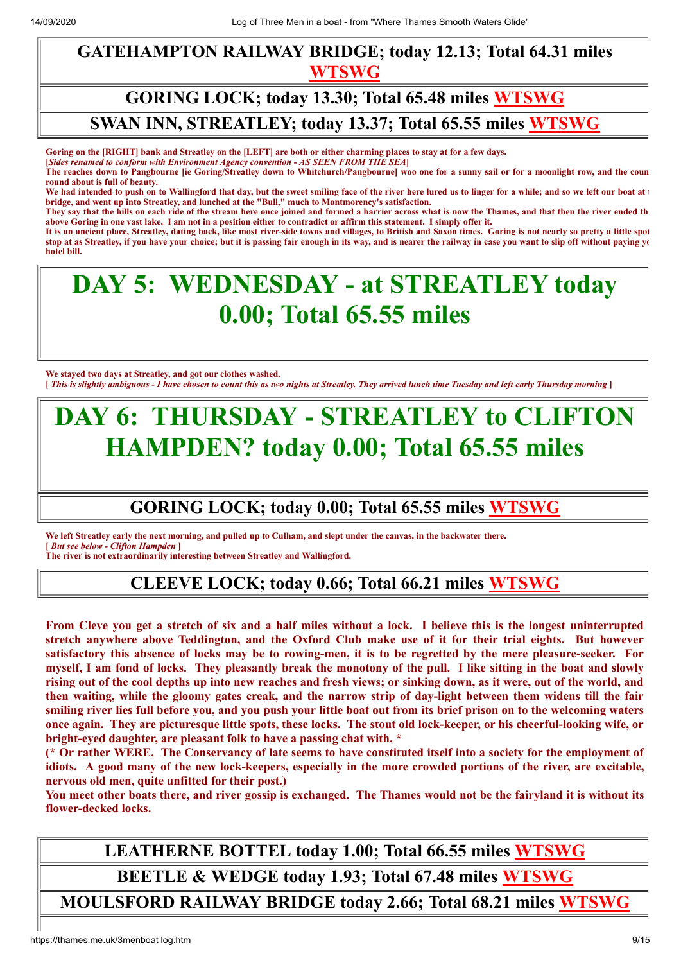#### **GATEHAMPTON RAILWAY BRIDGE; today 12.13; Total 64.31 miles [WTSWG](http://thames.me.uk/s01240.htm)**

### **GORING LOCK; today 13.30; Total 65.48 miles [WTSWG](http://thames.me.uk/s01270.htm) SWAN INN, STREATLEY; today 13.37; Total 65.55 miles [WTSWG](http://thames.me.uk/s01271.htm)**

**Goring on the [RIGHT] bank and Streatley on the [LEFT] are both or either charming places to stay at for a few days.**

**[***Sides renamed to conform with Environment Agency convention - AS SEEN FROM THE SEA***]**

**The reaches down to Pangbourne [ie Goring/Streatley down to Whitchurch/Pangbourne] woo one for a sunny sail or for a moonlight row, and the coun round about is full of beauty.**

We had intended to push on to Wallingford that day, but the sweet smiling face of the river here lured us to linger for a while; and so we left our boat at **t bridge, and went up into Streatley, and lunched at the "Bull," much to Montmorency's satisfaction.** 

**They say that the hills on each ride of the stream here once joined and formed a barrier across what is now the Thames, and that then the river ended th above Goring in one vast lake. I am not in a position either to contradict or affirm this statement. I simply offer it.** 

**It is an ancient place, Streatley, dating back, like most river-side towns and villages, to British and Saxon times. Goring is not nearly so pretty a little spot stop at as Streatley, if you have your choice; but it is passing fair enough in its way, and is nearer the railway in case you want to slip off without paying yo hotel bill.** 

## **DAY 5: WEDNESDAY - at STREATLEY today 0.00; Total 65.55 miles**

**We stayed two days at Streatley, and got our clothes washed. [** *This is slightly ambiguous - I have chosen to count this as two nights at Streatley. They arrived lunch time Tuesday and left early Thursday morning* **]**

## **DAY 6: THURSDAY - STREATLEY to CLIFTON HAMPDEN? today 0.00; Total 65.55 miles**

### **GORING LOCK; today 0.00; Total 65.55 miles [WTSWG](http://thames.me.uk/s01270.htm)**

**We left Streatley early the next morning, and pulled up to Culham, and slept under the canvas, in the backwater there. [** *But see below - Clifton Hampden* **]**

**The river is not extraordinarily interesting between Streatley and Wallingford.**

#### **CLEEVE LOCK; today 0.66; Total 66.21 miles [WTSWG](http://thames.me.uk/s01280.htm)**

From Cleve you get a stretch of six and a half miles without a lock. I believe this is the longest uninterrupted stretch anywhere above Teddington, and the Oxford Club make use of it for their trial eights. But however satisfactory this absence of locks may be to rowing-men, it is to be regretted by the mere pleasure-seeker. For myself, I am fond of locks. They pleasantly break the monotony of the pull. I like sitting in the boat and slowly rising out of the cool depths up into new reaches and fresh views; or sinking down, as it were, out of the world, and then waiting, while the gloomy gates creak, and the narrow strip of day-light between them widens till the fair smiling river lies full before you, and you push your little boat out from its brief prison on to the welcoming waters once again. They are picturesque little spots, these locks. The stout old lock-keeper, or his cheerful-looking wife, or **bright-eyed daughter, are pleasant folk to have a passing chat with. \***

(\* Or rather WERE. The Conservancy of late seems to have constituted itself into a society for the employment of idiots. A good many of the new lock-keepers, especially in the more crowded portions of the river, are excitable, **nervous old men, quite unfitted for their post.)**

You meet other boats there, and river gossip is exchanged. The Thames would not be the fairyland it is without its **flower-decked locks.**

### **LEATHERNE BOTTEL today 1.00; Total 66.55 miles [WTSWG](http://thames.me.uk/s01281.htm) BEETLE & WEDGE today 1.93; Total 67.48 miles [WTSWG](http://thames.me.uk/s01290.htm)**

**MOULSFORD RAILWAY BRIDGE today 2.66; Total 68.21 miles [WTSWG](http://thames.me.uk/s01300.htm)**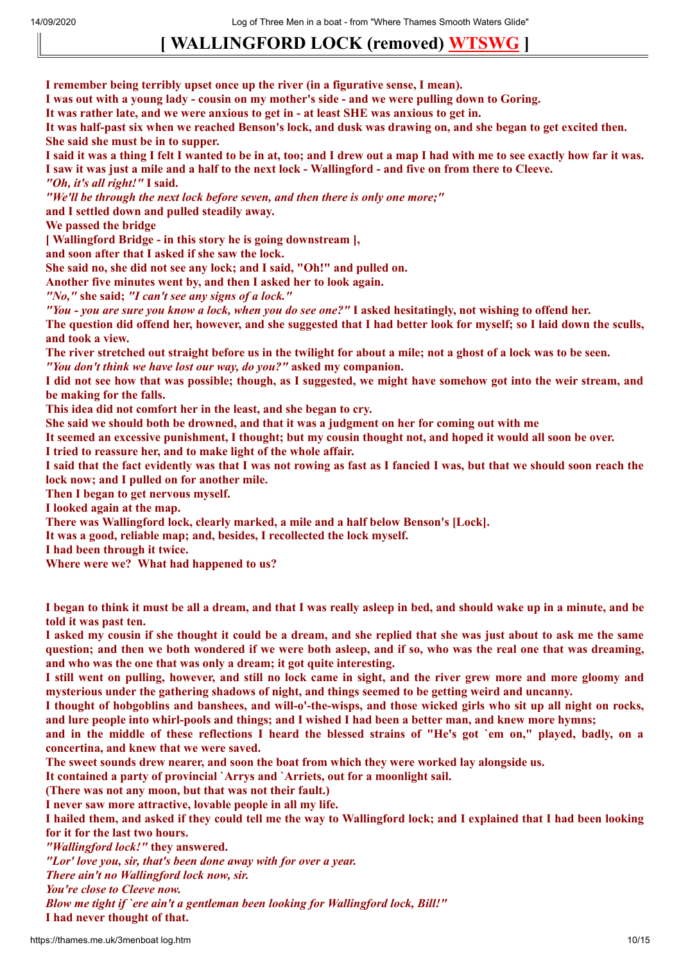14/09/2020 Log of Three Men in a boat - from "Where Thames Smooth Waters Glide"

## **[ WALLINGFORD LOCK (removed) [WTSWG](http://thames.me.uk/s01320.htm) ]**

**I remember being terribly upset once up the river (in a figurative sense, I mean).**

I was out with a voung lady - cousin on my mother's side - and we were pulling down to Goring.

It was rather late, and we were anxious to get in - at least SHE was anxious to get in.

It was half-past six when we reached Benson's lock, and dusk was drawing on, and she began to get excited then. **She said she must be in to supper.**

I said it was a thing I felt I wanted to be in at, too; and I drew out a map I had with me to see exactly how far it was. I saw it was just a mile and a half to the next lock - Wallingford - and five on from there to Cleeve. *"Oh, it's all right!"* **I said.**

*"We'll be through the next lock before seven, and then there is only one more;"*

**and I settled down and pulled steadily away.**

**We passed the bridge**

**[ Wallingford Bridge - in this story he is going downstream ],**

**and soon after that I asked if she saw the lock.**

**She said no, she did not see any lock; and I said, "Oh!" and pulled on.**

**Another five minutes went by, and then I asked her to look again.**

*"No,"* **she said;** *"I can't see any signs of a lock."*

"You - you are sure you know a lock, when you do see one?" I asked hesitatingly, not wishing to offend her.

The question did offend her, however, and she suggested that I had better look for myself; so I laid down the sculls, **and took a view.**

The river stretched out straight before us in the twilight for about a mile; not a ghost of a lock was to be seen.

*"You don't think we have lost our way, do you?"* **asked my companion.**

I did not see how that was possible; though, as I suggested, we might have somehow got into the weir stream, and **be making for the falls.**

**This idea did not comfort her in the least, and she began to cry.**

She said we should both be drowned, and that it was a judgment on her for coming out with me

It seemed an excessive punishment, I thought; but my cousin thought not, and hoped it would all soon be over.

**I tried to reassure her, and to make light of the whole affair.**

I said that the fact evidently was that I was not rowing as fast as I fancied I was, but that we should soon reach the **lock now; and I pulled on for another mile.**

**Then I began to get nervous myself.**

**I looked again at the map.**

**There was Wallingford lock, clearly marked, a mile and a half below Benson's [Lock].**

**It was a good, reliable map; and, besides, I recollected the lock myself.**

**I had been through it twice.**

**Where were we? What had happened to us?**

I began to think it must be all a dream, and that I was really asleep in bed, and should wake up in a minute, and be **told it was past ten.**

I asked my cousin if she thought it could be a dream, and she replied that she was just about to ask me the same question; and then we both wondered if we were both asleep, and if so, who was the real one that was dreaming, **and who was the one that was only a dream; it got quite interesting.**

I still went on pulling, however, and still no lock came in sight, and the river grew more and more gloomy and **mysterious under the gathering shadows of night, and things seemed to be getting weird and uncanny.**

I thought of hobgoblins and banshees, and will-o'-the-wisps, and those wicked girls who sit up all night on rocks, and lure people into whirl-pools and things; and I wished I had been a better man, and knew more hymns;

and in the middle of these reflections I heard the blessed strains of "He's got 'em on," played, badly, on a **concertina, and knew that we were saved.**

**The sweet sounds drew nearer, and soon the boat from which they were worked lay alongside us.**

**It contained a party of provincial `Arrys and `Arriets, out for a moonlight sail.**

**(There was not any moon, but that was not their fault.)**

**I never saw more attractive, lovable people in all my life.**

I hailed them, and asked if they could tell me the way to Wallingford lock; and I explained that I had been looking **for it for the last two hours.**

*"Wallingford lock!"* **they answered.**

*"Lor' love you, sir, that's been done away with for over a year.*

*There ain't no Wallingford lock now, sir.*

*You're close to Cleeve now.*

*Blow me tight if `ere ain't a gentleman been looking for Wallingford lock, Bill!"*

**I had never thought of that.**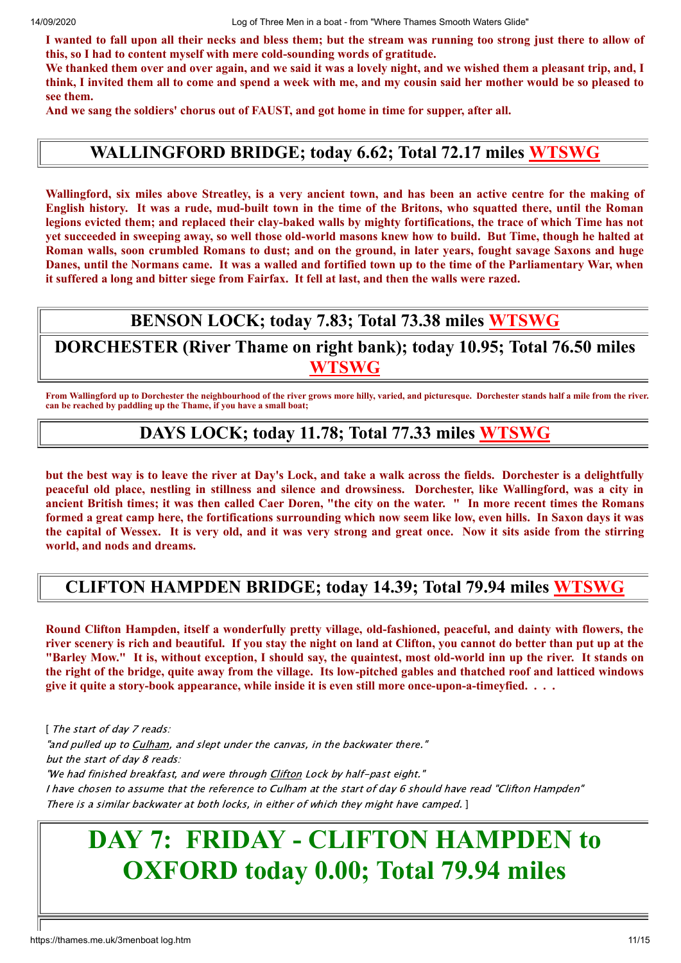I wanted to fall upon all their necks and bless them; but the stream was running too strong just there to allow of **this, so I had to content myself with mere cold-sounding words of gratitude.**

We thanked them over and over again, and we said it was a lovely night, and we wished them a pleasant trip, and, I think, I invited them all to come and spend a week with me, and my cousin said her mother would be so pleased to **see them.**

**And we sang the soldiers' chorus out of FAUST, and got home in time for supper, after all.**

#### **WALLINGFORD BRIDGE; today 6.62; Total 72.17 miles [WTSWG](http://thames.me.uk/s01330.htm)**

Wallingford, six miles above Streatley, is a very ancient town, and has been an active centre for the making of English history. It was a rude, mud-built town in the time of the Britons, who squatted there, until the Roman legions evicted them; and replaced their clay-baked walls by mighty fortifications, the trace of which Time has not yet succeeded in sweeping away, so well those old-world masons knew how to build. But Time, though he halted at Roman walls, soon crumbled Romans to dust; and on the ground, in later years, fought sayage Saxons and huge Danes, until the Normans came. It was a walled and fortified town up to the time of the Parliamentary War, when it suffered a long and bitter siege from Fairfax. It fell at last, and then the walls were razed.

#### **BENSON LOCK; today 7.83; Total 73.38 miles [WTSWG](http://thames.me.uk/s01340.htm)**

**DORCHESTER (River Thame on right bank); today 10.95; Total 76.50 miles [WTSWG](http://thames.me.uk/s01360.htm)**

**From Wallingford up to Dorchester the neighbourhood of the river grows more hilly, varied, and picturesque. Dorchester stands half a mile from the river. can be reached by paddling up the Thame, if you have a small boat;**

#### **DAYS LOCK; today 11.78; Total 77.33 miles [WTSWG](http://thames.me.uk/s01370.htm)**

but the best way is to leave the river at Day's Lock, and take a walk across the fields. Dorchester is a delightfully peaceful old place, nestling in stillness and silence and drowsiness. Dorchester, like Wallingford, was a city in ancient British times; it was then called Caer Doren, "the city on the water. " In more recent times the Romans formed a great camp here, the fortifications surrounding which now seem like low, even hills. In Saxon davs it was the capital of Wessex. It is very old, and it was very strong and great once. Now it sits aside from the stirring **world, and nods and dreams.**

#### **CLIFTON HAMPDEN BRIDGE; today 14.39; Total 79.94 miles [WTSWG](http://thames.me.uk/s01400.htm)**

**Round Clifton Hampden, itself a wonderfully pretty village, old-fashioned, peaceful, and dainty with flowers, the** river scenery is rich and beautiful. If you stay the night on land at Clifton, you cannot do better than put up at the "Barley Mow." It is, without exception, I should say, the quaintest, most old-world inn up the river. It stands on the right of the bridge, quite away from the village. Its low-pitched gables and thatched roof and latticed windows **give it quite a story-book appearance, while inside it is even still more once-upon-a-timeyfied. . . .**

[ The start of day 7 reads: "and pulled up to Culham, and slept under the canvas, in the backwater there." but the start of day 8 reads: "We had finished breakfast, and were through Clifton Lock by half-past eight." I have chosen to assume that the reference to Culham at the start of day 6 should have read "Clifton Hampden" There is a similar backwater at both locks, in either of which they might have camped. ]

## **DAY 7: FRIDAY - CLIFTON HAMPDEN to OXFORD today 0.00; Total 79.94 miles**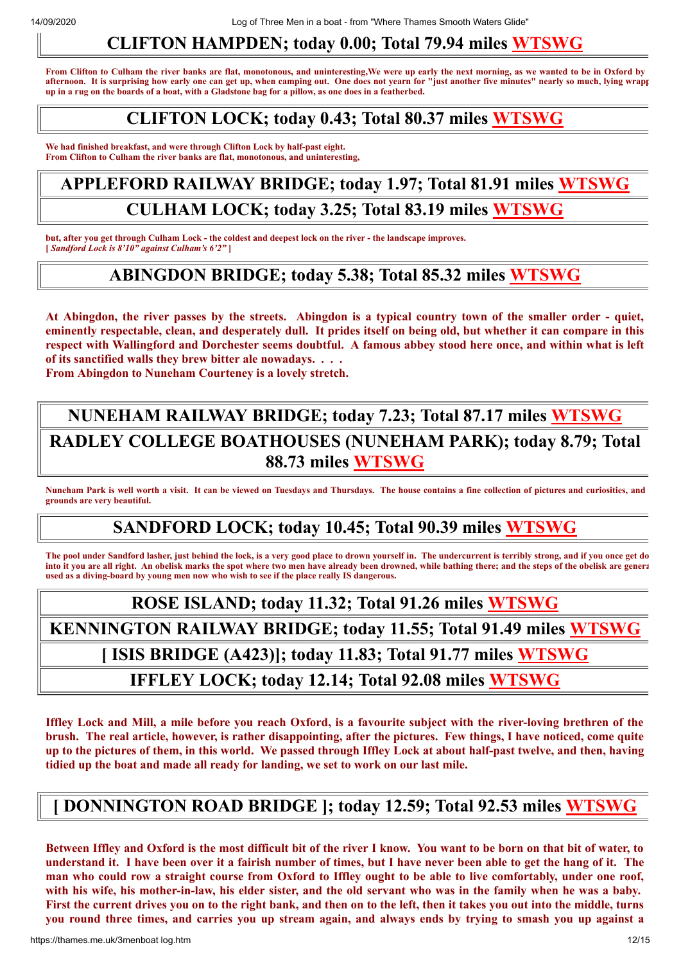### **CLIFTON HAMPDEN; today 0.00; Total 79.94 miles [WTSWG](http://thames.me.uk/s01400.htm)**

**From Clifton to Culham the river banks are flat, monotonous, and uninteresting,We were up early the next morning, as we wanted to be in Oxford by afternoon. It is surprising how early one can get up, when camping out. One does not yearn for "just another five minutes" nearly so much, lying wrapp up in a rug on the boards of a boat, with a Gladstone bag for a pillow, as one does in a featherbed.**

#### **CLIFTON LOCK; today 0.43; Total 80.37 miles [WTSWG](http://thames.me.uk/s01430.htm)**

**We had finished breakfast, and were through Clifton Lock by half-past eight. From Clifton to Culham the river banks are flat, monotonous, and uninteresting,**

## **APPLEFORD RAILWAY BRIDGE; today 1.97; Total 81.91 miles [WTSWG](http://thames.me.uk/s01440.htm) CULHAM LOCK; today 3.25; Total 83.19 miles [WTSWG](http://thames.me.uk/s01470.htm)**

**but, after you get through Culham Lock - the coldest and deepest lock on the river - the landscape improves. [** *Sandford Lock is 8'10" against Culham's 6'2"* **]**

#### **ABINGDON BRIDGE; today 5.38; Total 85.32 miles [WTSWG](http://thames.me.uk/s01510.htm)**

At Abingdon, the river passes by the streets. Abingdon is a typical country town of the smaller order - quiet, eminently respectable, clean, and desperately dull. It prides itself on being old, but whether it can compare in this respect with Wallingford and Dorchester seems doubtful. A famous abbey stood here once, and within what is left **of its sanctified walls they brew bitter ale nowadays. . . .**

**From Abingdon to Nuneham Courteney is a lovely stretch.**

### **NUNEHAM RAILWAY BRIDGE; today 7.23; Total 87.17 miles [WTSWG](http://thames.me.uk/s01530.htm) RADLEY COLLEGE BOATHOUSES (NUNEHAM PARK); today 8.79; Total 88.73 miles [WTSWG](http://thames.me.uk/s01560.htm)**

**Nuneham Park is well worth a visit. It can be viewed on Tuesdays and Thursdays. The house contains a fine collection of pictures and curiosities, and grounds are very beautiful.**

#### **SANDFORD LOCK; today 10.45; Total 90.39 miles [WTSWG](http://thames.me.uk/s01570.htm)**

**The pool under Sandford lasher, just behind the lock, is a very good place to drown yourself in. The undercurrent is terribly strong, and if you once get do into it you are all right. An obelisk marks the spot where two men have already been drowned, while bathing there; and the steps of the obelisk are genera used as a diving-board by young men now who wish to see if the place really IS dangerous.**

## **ROSE ISLAND; today 11.32; Total 91.26 miles [WTSWG](http://thames.me.uk/s01580.htm) KENNINGTON RAILWAY BRIDGE; today 11.55; Total 91.49 miles [WTSWG](http://thames.me.uk/s01590.htm) [ ISIS BRIDGE (A423)]; today 11.83; Total 91.77 miles [WTSWG](http://thames.me.uk/s01600.htm) IFFLEY LOCK; today 12.14; Total 92.08 miles [WTSWG](http://thames.me.uk/s01610.htm)**

Iffley Lock and Mill, a mile before you reach Oxford, is a favourite subject with the river-loving brethren of the brush. The real article, however, is rather disappointing, after the pictures. Few things, I have noticed, come quite up to the pictures of them, in this world. We passed through Iffley Lock at about half-past twelve, and then, having **tidied up the boat and made all ready for landing, we set to work on our last mile.**

#### **[ DONNINGTON ROAD BRIDGE ]; today 12.59; Total 92.53 miles [WTSWG](http://thames.me.uk/s01650.htm)**

Between Iffley and Oxford is the most difficult bit of the river I know. You want to be born on that bit of water, to understand it. I have been over it a fairish number of times, but I have never been able to get the hang of it. The man who could row a straight course from Oxford to Iffley ought to be able to live comfortably, under one roof, with his wife, his mother-in-law, his elder sister, and the old servant who was in the family when he was a baby. First the current drives you on to the right bank, and then on to the left, then it takes you out into the middle, turns you round three times, and carries you up stream again, and always ends by trying to smash you up against a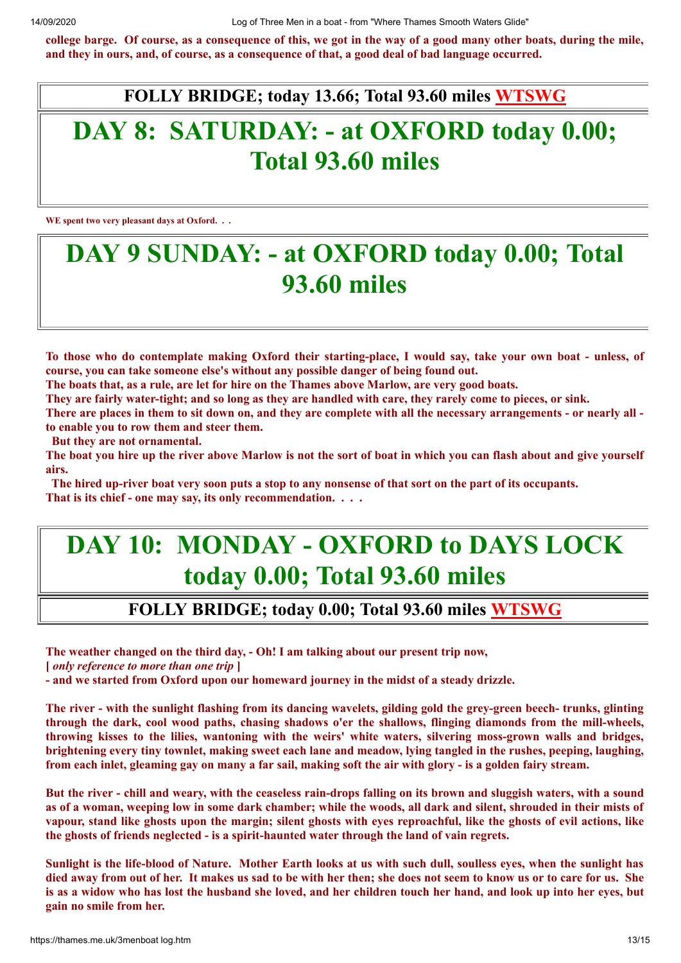college barge. Of course, as a consequence of this, we got in the way of a good many other boats, during the mile, and they in ours, and, of course, as a consequence of that, a good deal of bad language occurred.

**FOLLY BRIDGE; today 13.66; Total 93.60 miles [WTSWG](http://thames.me.uk/s01690.htm)**

## **DAY 8: SATURDAY: - at OXFORD today 0.00; Total 93.60 miles**

**WE spent two very pleasant days at Oxford. . .**

## **DAY 9 SUNDAY: - at OXFORD today 0.00; Total 93.60 miles**

To those who do contemplate making Oxford their starting-place, I would say, take your own boat - unless, of **course, you can take someone else's without any possible danger of being found out.**

The boats that, as a rule, are let for hire on the Thames above Marlow, are very good boats.

They are fairly water-tight; and so long as they are handled with care, they rarely come to pieces, or sink.

There are places in them to sit down on, and they are complete with all the necessary arrangements - or nearly all **to enable you to row them and steer them.**

**But they are not ornamental.**

The boat you hire up the river above Marlow is not the sort of boat in which you can flash about and give yourself **airs.**

The hired up-river boat very soon puts a stop to any nonsense of that sort on the part of its occupants. **That is its chief - one may say, its only recommendation. . . .**

## **DAY 10: MONDAY - OXFORD to DAYS LOCK today 0.00; Total 93.60 miles**

#### **FOLLY BRIDGE; today 0.00; Total 93.60 miles [WTSWG](http://thames.me.uk/s01690.htm)**

**The weather changed on the third day, - Oh! I am talking about our present trip now,**

**[** *only reference to more than one trip* **]**

**- and we started from Oxford upon our homeward journey in the midst of a steady drizzle.**

The river - with the sunlight flashing from its dancing wavelets, gilding gold the grev-green beech-trunks, glinting **through the dark, cool wood paths, chasing shadows o'er the shallows, flinging diamonds from the mill-wheels, throwing kisses to the lilies, wantoning with the weirs' white waters, silvering moss-grown walls and bridges,** brightening every tiny townlet, making sweet each lane and meadow, lying tangled in the rushes, peeping, laughing, from each inlet, gleaming gay on many a far sail, making soft the air with glory - is a golden fairy stream.

But the river - chill and weary, with the ceaseless rain-drops falling on its brown and sluggish waters, with a sound as of a woman, weeping low in some dark chamber; while the woods, all dark and silent, shrouded in their mists of vapour, stand like ghosts upon the margin; silent ghosts with eves reproachful, like the ghosts of evil actions, like **the ghosts of friends neglected - is a spirit-haunted water through the land of vain regrets.**

Sunlight is the life-blood of Nature. Mother Earth looks at us with such dull, soulless eves, when the sunlight has died away from out of her. It makes us sad to be with her then; she does not seem to know us or to care for us. She is as a widow who has lost the husband she loved, and her children touch her hand, and look up into her eyes, but **gain no smile from her.**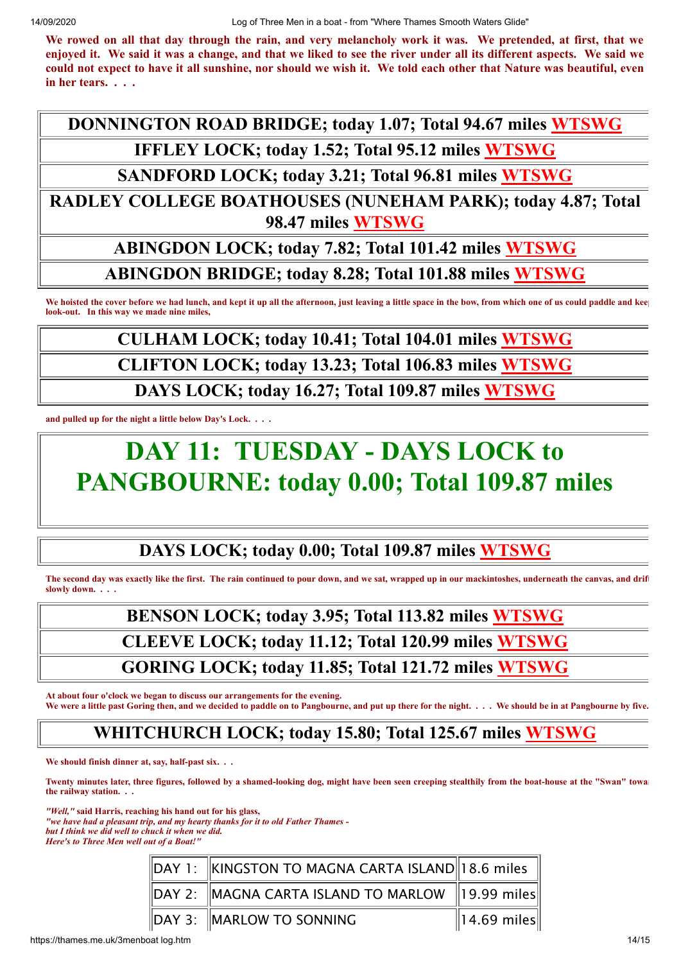We rowed on all that day through the rain, and very melancholy work it was. We pretended, at first, that we enjoyed it. We said it was a change, and that we liked to see the river under all its different aspects. We said we could not expect to have it all sunshine, nor should we wish it. We told each other that Nature was beautiful, even **in her tears. . . .**

**DONNINGTON ROAD BRIDGE; today 1.07; Total 94.67 miles [WTSWG](http://thames.me.uk/s01650.htm)**

**IFFLEY LOCK; today 1.52; Total 95.12 miles [WTSWG](http://thames.me.uk/s01620.htm)**

**SANDFORD LOCK; today 3.21; Total 96.81 miles [WTSWG](http://thames.me.uk/s01570.htm)**

**RADLEY COLLEGE BOATHOUSES (NUNEHAM PARK); today 4.87; Total 98.47 miles [WTSWG](http://thames.me.uk/s01560.htm)**

#### **ABINGDON LOCK; today 7.82; Total 101.42 miles [WTSWG](http://thames.me.uk/s01520.htm)**

**ABINGDON BRIDGE; today 8.28; Total 101.88 miles [WTSWG](http://thames.me.uk/s01510.htm)**

We hoisted the cover before we had lunch, and kept it up all the afternoon, just leaving a little space in the bow, from which one of us could paddle and kee **look-out. In this way we made nine miles,**

## **CULHAM LOCK; today 10.41; Total 104.01 miles [WTSWG](http://thames.me.uk/s01470.htm)**

**CLIFTON LOCK; today 13.23; Total 106.83 miles [WTSWG](http://thames.me.uk/s01430.htm)**

**DAYS LOCK; today 16.27; Total 109.87 miles [WTSWG](http://thames.me.uk/s01370.htm)**

**and pulled up for the night a little below Day's Lock. . . .** 

## **DAY 11: TUESDAY - DAYS LOCK to PANGBOURNE: today 0.00; Total 109.87 miles**

### **DAYS LOCK; today 0.00; Total 109.87 miles [WTSWG](http://thames.me.uk/s01370.htm)**

**The second day was exactly like the first. The rain continued to pour down, and we sat, wrapped up in our mackintoshes, underneath the canvas, and drift slowly down. . . .** 

## **BENSON LOCK; today 3.95; Total 113.82 miles [WTSWG](http://thames.me.uk/s01340.htm)**

**CLEEVE LOCK; today 11.12; Total 120.99 miles [WTSWG](http://thames.me.uk/s01280.htm)**

#### **GORING LOCK; today 11.85; Total 121.72 miles [WTSWG](http://thames.me.uk/s01270.htm)**

**At about four o'clock we began to discuss our arrangements for the evening.** We were a little past Goring then, and we decided to paddle on to Pangbourne, and put up there for the night. . . . We should be in at Pangbourne by five.

#### **WHITCHURCH LOCK; today 15.80; Total 125.67 miles [WTSWG](http://thames.me.uk/s01220.htm)**

**We should finish dinner at, say, half-past six. . .** 

**Twenty minutes later, three figures, followed by a shamed-looking dog, might have been seen creeping stealthily from the boat-house at the "Swan" towar the railway station. . .** 

*"Well,"* **said Harris, reaching his hand out for his glass,** *"we have had a pleasant trip, and my hearty thanks for it to old Father Thames -*

*but I think we did well to chuck it when we did.*

*Here's to Three Men well out of a Boat!"*

| $\parallel$ DAY 1: $\parallel$ KINGSTON TO MAGNA CARTA ISLAND $\parallel$ 18.6 miles $\parallel$ |                         |
|--------------------------------------------------------------------------------------------------|-------------------------|
| $\parallel$ DAY 2: $\parallel$ MAGNA CARTA ISLAND TO MARLOW $\parallel$ 19.99 miles $\parallel$  |                         |
| $\parallel$ DAY 3: $\parallel$ MARLOW TO SONNING                                                 | $\parallel$ 14.69 miles |